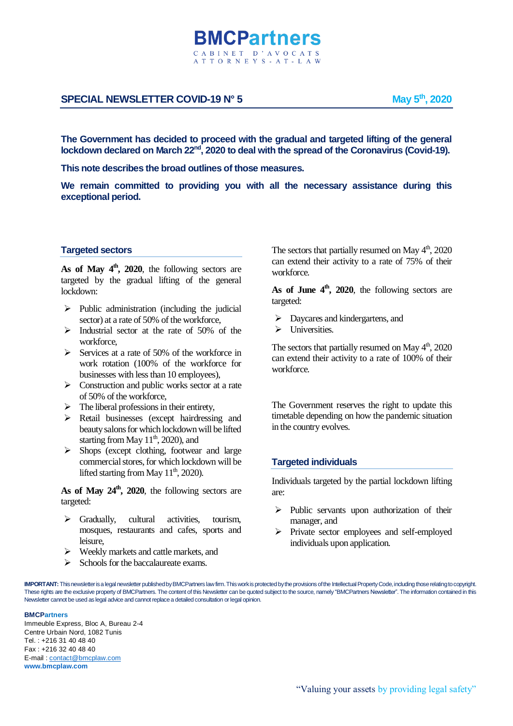# **SPECIAL NEWSLETTER COVID-19 N° 5**

**The Government has decided to proceed with the gradual and targeted lifting of the general lockdown declared on March 22nd , 2020 to deal with the spread of the Coronavirus (Covid-19).**

**BMCPartners** CABINET D'AVOCATS ATTORNEYS - AT - LAW

**This note describes the broad outlines of those measures.**

**We remain committed to providing you with all the necessary assistance during this exceptional period.**

### **Targeted sectors**

**As of May 4th, 2020**, the following sectors are targeted by the gradual lifting of the general lockdown:

- $\triangleright$  Public administration (including the judicial sector) at a rate of 50% of the workforce,
- $\triangleright$  Industrial sector at the rate of 50% of the workforce,
- $\triangleright$  Services at a rate of 50% of the workforce in work rotation (100% of the workforce for businesses with less than 10 employees),
- $\triangleright$  Construction and public works sector at a rate of 50% of the workforce,
- $\triangleright$  The liberal professions in their entirety,
- $\triangleright$  Retail businesses (except hairdressing and beauty salons for which lockdownwill be lifted starting from May  $11<sup>th</sup>$ , 2020), and
- $\triangleright$  Shops (except clothing, footwear and large commercial stores, for which lockdown will be lifted starting from May  $11<sup>th</sup>$ , 2020).

**As of May 24th, 2020**, the following sectors are targeted:

- Gradually, cultural activities, tourism, mosques, restaurants and cafes, sports and leisure,
- $\triangleright$  Weekly markets and cattle markets, and
- $\triangleright$  Schools for the baccalaureate exams.

The sectors that partially resumed on May  $4<sup>th</sup>$ , 2020 can extend their activity to a rate of 75% of their workforce.

**As of June 4th, 2020**, the following sectors are targeted:

- $\triangleright$  Daycares and kindergartens, and
- $\triangleright$  Universities

The sectors that partially resumed on May  $4<sup>th</sup>$ , 2020 can extend their activity to a rate of 100% of their workforce.

The Government reserves the right to update this timetable depending on how the pandemic situation in the country evolves.

## **Targeted individuals**

Individuals targeted by the partial lockdown lifting are:

- $\triangleright$  Public servants upon authorization of their manager, and
- Private sector employees and self-employed individuals upon application.

**IMPORTANT:** This newsletter is a legal newsletter published by BMCPartners law firm. This work is protected by the provisions of the Intellectual Property Code, including those relating to copyright. These rights are the exclusive property of BMCPartners. The content of this Newsletter can be quoted subject to the source, namely "BMCPartners Newsletter". The information contained in this Newsletter cannot be used as legal advice and cannot replace a detailed consultation or legal opinion.

#### **BMCPartners**

Immeuble Express, Bloc A, Bureau 2-4 Centre Urbain Nord, 1082 Tunis Tel. : +216 31 40 48 40 Fax : +216 32 40 48 40 E-mail [: contact@bmcplaw.com](mailto:contact@bmcplaw.com) **www.bmcplaw.com**